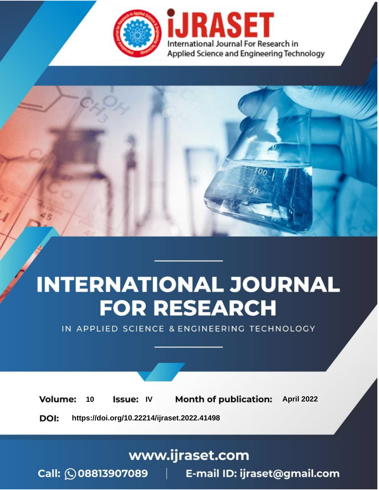

# **INTERNATIONAL JOURNAL FOR RESEARCH**

IN APPLIED SCIENCE & ENGINEERING TECHNOLOGY

10 **Issue: IV Month of publication:** April 2022 **Volume:** 

**https://doi.org/10.22214/ijraset.2022.41498**DOI:

www.ijraset.com

Call: 008813907089 | E-mail ID: ijraset@gmail.com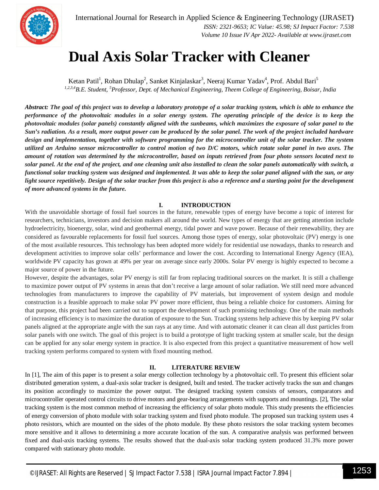

International Journal for Research in Applied Science & Engineering Technology (IJRASET**)**  *ISSN: 2321-9653; IC Value: 45.98; SJ Impact Factor: 7.538 Volume 10 Issue IV Apr 2022- Available at www.ijraset.com*

### **Dual Axis Solar Tracker with Cleaner**

Ketan Patil<sup>1</sup>, Rohan Dhulap<sup>2</sup>, Sanket Kinjalaskar<sup>3</sup>, Neeraj Kumar Yadav<sup>4</sup>, Prof. Abdul Bari<sup>5</sup> *1,2,3,4B.E. Student, <sup>5</sup>Professor, Dept. of Mechanical Engineering, Theem College of Engineering, Boisar, India* 

*Abstract: The goal of this project was to develop a laboratory prototype of a solar tracking system, which is able to enhance the performance of the photovoltaic modules in a solar energy system. The operating principle of the device is to keep the photovoltaic modules (solar panels) constantly aligned with the sunbeams, which maximizes the exposure of solar panel to the Sun's radiation. As a result, more output power can be produced by the solar panel. The work of the project included hardware design and implementation, together with software programming for the microcontroller unit of the solar tracker. The system utilized an Arduino sensor microcontroller to control motion of two D/C motors, which rotate solar panel in two axes. The amount of rotation was determined by the microcontroller, based on inputs retrieved from four photo sensors located next to solar panel. At the end of the project, and one cleaning unit also installed to clean the solar panels automatically with switch, a functional solar tracking system was designed and implemented. It was able to keep the solar panel aligned with the sun, or any*  light source repetitively. Design of the solar tracker from this project is also a reference and a starting point for the development *of more advanced systems in the future.*

#### **I. INTRODUCTION**

With the unavoidable shortage of fossil fuel sources in the future, renewable types of energy have become a topic of interest for researchers, technicians, investors and decision makers all around the world. New types of energy that are getting attention include hydroelectricity, bioenergy, solar, wind and geothermal energy, tidal power and wave power. Because of their renewability, they are considered as favourable replacements for fossil fuel sources. Among those types of energy, solar photovoltaic (PV) energy is one of the most available resources. This technology has been adopted more widely for residential use nowadays, thanks to research and development activities to improve solar cells' performance and lower the cost. According to International Energy Agency (IEA), worldwide PV capacity has grown at 49% per year on average since early 2000s. Solar PV energy is highly expected to become a major source of power in the future.

However, despite the advantages, solar PV energy is still far from replacing traditional sources on the market. It is still a challenge to maximize power output of PV systems in areas that don't receive a large amount of solar radiation. We still need more advanced technologies from manufacturers to improve the capability of PV materials, but improvement of system design and module construction is a feasible approach to make solar PV power more efficient, thus being a reliable choice for customers. Aiming for that purpose, this project had been carried out to support the development of such promising technology. One of the main methods of increasing efficiency is to maximize the duration of exposure to the Sun. Tracking systems help achieve this by keeping PV solar panels aligned at the appropriate angle with the sun rays at any time. And with automatic cleaner it can clean all dust particles from solar panels with one switch. The goal of this project is to build a prototype of light tracking system at smaller scale, but the design can be applied for any solar energy system in practice. It is also expected from this project a quantitative measurement of how well tracking system performs compared to system with fixed mounting method.

#### **II. LITERATURE REVIEW**

In [1], The aim of this paper is to present a solar energy collection technology by a photovoltaic cell. To present this efficient solar distributed generation system, a dual-axis solar tracker is designed, built and tested. The tracker actively tracks the sun and changes its position accordingly to maximize the power output. The designed tracking system consists of sensors, comparators and microcontroller operated control circuits to drive motors and gear-bearing arrangements with supports and mountings. [2], The solar tracking system is the most common method of increasing the efficiency of solar photo module. This study presents the efficiencies of energy conversion of photo module with solar tracking system and fixed photo module. The proposed sun tracking system uses 4 photo resistors, which are mounted on the sides of the photo module. By these photo resistors the solar tracking system becomes more sensitive and it allows to determining a more accurate location of the sun. A comparative analysis was performed between fixed and dual-axis tracking systems. The results showed that the dual-axis solar tracking system produced 31.3% more power compared with stationary photo module.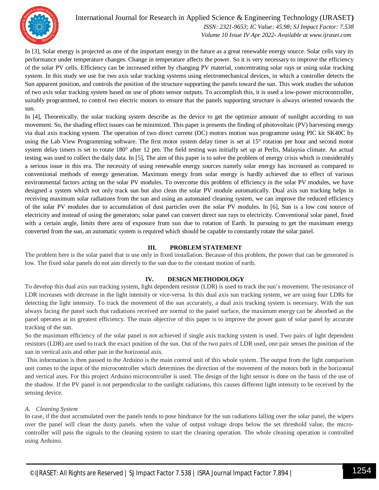

International Journal for Research in Applied Science & Engineering Technology (IJRASET**)**  *ISSN: 2321-9653; IC Value: 45.98; SJ Impact Factor: 7.538 Volume 10 Issue IV Apr 2022- Available at www.ijraset.com*

In [3], Solar energy is projected as one of the important energy in the future as a great renewable energy source. Solar cells vary its performance under temperature changes. Change in temperature affects the power. So it is very necessary to improve the efficiency of the solar PV cells. Efficiency can be increased either by changing PV material, concentrating solar rays or using solar tracking system. In this study we use for two axis solar tracking systems using electromechanical devices, in which a controller detects the Sun apparent position, and controls the position of the structure supporting the panels toward the sun. This work studies the solution of two axis solar tracking system based on use of photo sensor outputs. To accomplish this, it is used a low-power microcontroller, suitably programmed, to control two electric motors to ensure that the panels supporting structure is always oriented towards the sun.

In [4], Theoretically, the solar tracking system describe as the device to get the optimize amount of sunlight according to sun movement. So, the shading effect issues can be minimized. This paper is presents the finding of photovoltaic (PV) harvesting energy via dual axis tracking system. The operation of two direct current (DC) motors motion was programme using PIC kit SK40C by using the Lab View Programming software. The first motor system delay timer is set at 15° rotation per hour and second motor system delay timers is set to rotate 180° after 12 pm. The field testing was initially set up at Perlis, Malaysia climate. An actual testing was used to collect the daily data. In [5], The aim of this paper is to solve the problem of energy crisis which is considerably a serious issue in this era. The necessity of using renewable energy sources namely solar energy has increased as compared to conventional methods of energy generation. Maximum energy from solar energy is hardly achieved due to effect of various environmental factors acting on the solar PV modules. To overcome this problem of efficiency in the solar PV modules, we have designed a system which not only track sun but also clean the solar PV module automatically. Dual axis sun tracking helps in receiving maximum solar radiations from the sun and using an automated cleaning system, we can improve the reduced efficiency of the solar PV modules due to accumulation of dust particles over the solar PV modules. In [6], Sun is a low cost source of electricity and instead of using the generators; solar panel can convert direct sun rays to electricity. Conventional solar panel, fixed with a certain angle, limits there area of exposure from sun due to rotation of Earth. In pursuing to get the maximum energy converted from the sun, an automatic system is required which should be capable to constantly rotate the solar panel.

#### **III. PROBLEM STATEMENT**

The problem here is the solar panel that is use only in fixed installation. Because of this problem, the power that can be generated is low. The fixed solar panels do not aim directly to the sun due to the constant motion of earth.

#### **IV. DESIGN METHODOLOGY**

To develop this dual axis sun tracking system, light dependent resistor (LDR) is used to track the sun's movement. The resistance of LDR increases with decrease in the light intensity or vice-versa. In this dual axis sun tracking system, we are using four LDRs for detecting the light intensity. To track the movement of the sun accurately, a dual axis tracking system is necessary. With the sun always facing the panel such that radiations received are normal to the panel surface, the maximum energy can be absorbed as the panel operates at its greatest efficiency. The main objective of this paper is to improve the power gain of solar panel by accurate tracking of the sun.

So the maximum efficiency of the solar panel is not achieved if single axis tracking system is used. Two pairs of light dependent resistors (LDR) are used to track the exact position of the sun. Out of the two pairs of LDR used, one pair senses the position of the sun in vertical axis and other pair in the horizontal axis.

This information is then passed to the Arduino is the main control unit of this whole system. The output from the light comparison unit comes to the input of the microcontroller which determines the direction of the movement of the motors both in the horizontal and vertical axes. For this project Arduino microcontroller is used. The design of the light sensor is done on the basis of the use of the shadow. If the PV panel is not perpendicular to the sunlight radiations, this causes different light intensity to be received by the sensing device.

#### *A. Cleaning System*

In case, if the dust accumulated over the panels tends to pose hindrance for the sun radiations falling over the solar panel, the wipers over the panel will clean the dusty panels. when the value of output voltage drops below the set threshold value, the microcontroller will pass the signals to the cleaning system to start the cleaning operation. The whole cleaning operation is controlled using Arduino.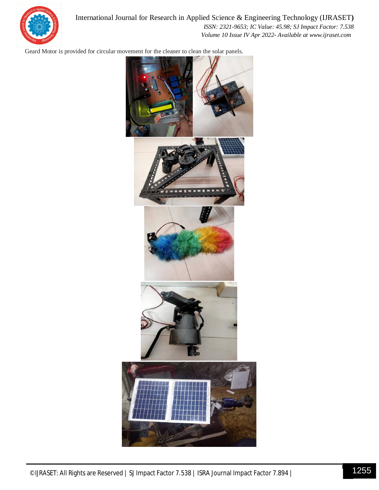

International Journal for Research in Applied Science & Engineering Technology (IJRASET**)**  *ISSN: 2321-9653; IC Value: 45.98; SJ Impact Factor: 7.538 Volume 10 Issue IV Apr 2022- Available at www.ijraset.com*

Geard Motor is provided for circular movement for the cleaner to clean the solar panels.

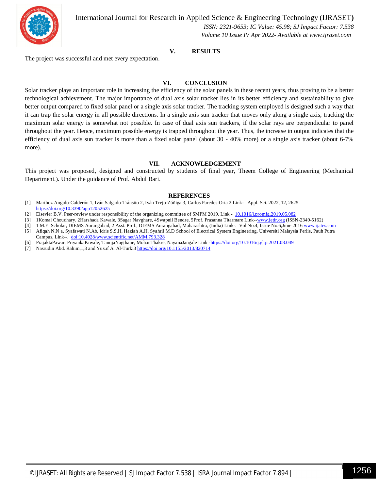

International Journal for Research in Applied Science & Engineering Technology (IJRASET**)**

 *ISSN: 2321-9653; IC Value: 45.98; SJ Impact Factor: 7.538 Volume 10 Issue IV Apr 2022- Available at www.ijraset.com*

#### **V. RESULTS**

The project was successful and met every expectation.

#### **VI. CONCLUSION**

Solar tracker plays an important role in increasing the efficiency of the solar panels in these recent years, thus proving to be a better technological achievement. The major importance of dual axis solar tracker lies in its better efficiency and sustainability to give better output compared to fixed solar panel or a single axis solar tracker. The tracking system employed is designed such a way that it can trap the solar energy in all possible directions. In a single axis sun tracker that moves only along a single axis, tracking the maximum solar energy is somewhat not possible. In case of dual axis sun trackers, if the solar rays are perpendicular to panel throughout the year. Hence, maximum possible energy is trapped throughout the year. Thus, the increase in output indicates that the efficiency of dual axis sun tracker is more than a fixed solar panel (about 30 - 40% more) or a single axis tracker (about 6-7% more).

#### **VII. ACKNOWLEDGEMENT**

This project was proposed, designed and constructed by students of final year, Theem College of Engineering (Mechanical Department.). Under the guidance of Prof. Abdul Bari.

#### **REFERENCES**

- [1] Marthoz Angulo-Calderón 1, Iván Salgado-Tránsito 2, Iván Trejo-Zúñiga 3, Carlos Paredes-Orta 2 Link- Appl. Sci. 2022, 12, 2625. https://doi.org/10.3390/app12052625
- [2] Elsevier B.V. Peer-review under responsibility of the organizing committee of SMPM 2019. Link 10.1016/j.promfg.2019.05.082
- [3] 1 Komal Choudhary, 2Harshada Kawale, 3Sagar Navghare, 4Swapnil Bendre, 5Prof. Prasanna Titarmare Link--www.jetir.org (ISSN-2349-5162)
- [4] 1 M.E. Scholar, DIEMS Aurangabad, 2 Asst. Prof., DIEMS Aurangabad, Maharashtra, (India) Link-. Vol No.4, Issue No.6,June 2016 www.ijates.com [5] Afiqah N.N a, Syafawati N.Ab, Idris S.S.H, Haziah A.H, Syahril M.D School of Electrical System Engineering, Universiti Malaysia Perlis, Pauh Putra
- Campus, Link--. doi:10.4028/www.scientific.net/AMM.793.328 [6] PrajaktaPawar, PriyankaPawale, TanujaNagthane, MohanThakre, NayanaJangale Link -https://doi.org/10.1016/j.gltp.2021.08.049
- [7] Nasrudin Abd. Rahim, 1,3 and Yusuf A. Al-Turki3 https://doi.org/10.1155/2013/820714